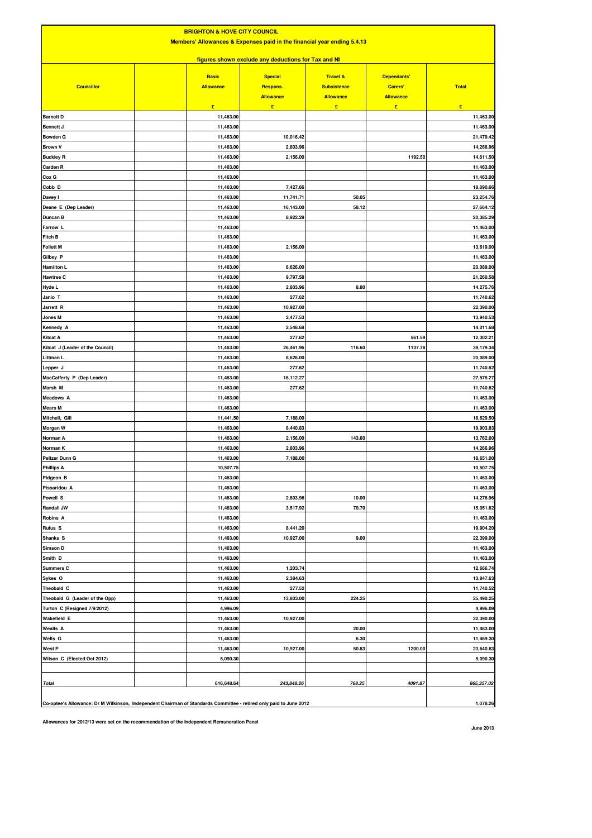| <b>BRIGHTON &amp; HOVE CITY COUNCIL</b><br>Members' Allowances & Expenses paid in the financial year ending 5.4.13<br>figures shown exclude any deductions for Tax and NI |                        |                      |              |         |                           |  |  |
|---------------------------------------------------------------------------------------------------------------------------------------------------------------------------|------------------------|----------------------|--------------|---------|---------------------------|--|--|
|                                                                                                                                                                           |                        |                      |              |         |                           |  |  |
| <b>Barnett D</b>                                                                                                                                                          | £<br>11,463.00         | £                    | $\mathbf{E}$ | £       | $\mathbf{E}$<br>11,463.00 |  |  |
| <b>Bennett J</b>                                                                                                                                                          | 11,463.00              |                      |              |         | 11,463.00                 |  |  |
| <b>Bowden G</b>                                                                                                                                                           | 11,463.00              | 10,016.42            |              |         | 21,479.42                 |  |  |
| <b>Brown V</b>                                                                                                                                                            | 11,463.00              | 2,803.96             |              |         | 14,266.96                 |  |  |
| <b>Buckley R</b>                                                                                                                                                          | 11,463.00              | 2,156.00             |              | 1192.50 | 14,811.50                 |  |  |
| Carden R                                                                                                                                                                  | 11,463.00              |                      |              |         | 11,463.00                 |  |  |
| Cox G<br>Cobb D                                                                                                                                                           | 11,463.00<br>11,463.00 | 7,427.66             |              |         | 11,463.00<br>18,890.66    |  |  |
| Davey I                                                                                                                                                                   | 11,463.00              | 11,741.71            | 50.05        |         | 23,254.76                 |  |  |
| Deane E (Dep Leader)                                                                                                                                                      | 11,463.00              | 16,143.00            | 58.12        |         | 27,664.12                 |  |  |
| Duncan B                                                                                                                                                                  | 11,463.00              | 8,922.29             |              |         | 20,385.29                 |  |  |
| Farrow L                                                                                                                                                                  | 11,463.00              |                      |              |         | 11,463.00                 |  |  |
| Fitch B                                                                                                                                                                   | 11,463.00              |                      |              |         | 11,463.00                 |  |  |
| <b>Follett M</b>                                                                                                                                                          | 11,463.00              | 2,156.00             |              |         | 13,619.00                 |  |  |
| Gilbey P                                                                                                                                                                  | 11,463.00              |                      |              |         | 11,463.00                 |  |  |
| <b>Hamilton L</b>                                                                                                                                                         | 11,463.00              | 8,626.00             |              |         | 20,089.00                 |  |  |
| <b>Hawtree C</b><br>Hyde L                                                                                                                                                | 11,463.00<br>11,463.00 | 9,797.58<br>2,803.96 | 8.80         |         | 21,260.58<br>14,275.76    |  |  |
| Janio T                                                                                                                                                                   | 11,463.00              | 277.62               |              |         | 11,740.62                 |  |  |
| Jarrett R                                                                                                                                                                 | 11,463.00              | 10,927.00            |              |         | 22,390.00                 |  |  |
| Jones M                                                                                                                                                                   | 11,463.00              | 2,477.53             |              |         | 13,940.53                 |  |  |
| Kennedy A                                                                                                                                                                 | 11,463.00              | 2,548.68             |              |         | 14,011.68                 |  |  |
| Kitcat A                                                                                                                                                                  | 11,463.00              | 277.62               |              | 561.59  | 12,302.21                 |  |  |
| Kitcat J (Leader of the Council)                                                                                                                                          | 11,463.00              | 26,461.96            | 116.60       | 1137.78 | 39,179.34                 |  |  |
| Littman L                                                                                                                                                                 | 11,463.00              | 8,626.00             |              |         | 20,089.00                 |  |  |
| Lepper J                                                                                                                                                                  | 11,463.00              | 277.62               |              |         | 11,740.62                 |  |  |
| MacCafferty P (Dep Leader)                                                                                                                                                | 11,463.00              | 16,112.27            |              |         | 27,575.27                 |  |  |
| Marsh M                                                                                                                                                                   | 11,463.00              | 277.62               |              |         | 11,740.62                 |  |  |
| <b>Meadows A</b><br><b>Mears M</b>                                                                                                                                        | 11,463.00<br>11,463.00 |                      |              |         | 11,463.00<br>11,463.00    |  |  |
| Mitchell, Gill                                                                                                                                                            | 11,441.50              | 7,188.00             |              |         | 18,629.50                 |  |  |
| Morgan W                                                                                                                                                                  | 11,463.00              | 8,440.83             |              |         | 19,903.83                 |  |  |
| Norman A                                                                                                                                                                  | 11,463.00              | 2,156.00             | 143.60       |         | 13,762.60                 |  |  |
| Norman K                                                                                                                                                                  | 11,463.00              | 2,803.96             |              |         | 14,266.96                 |  |  |
| Peltzer Dunn G                                                                                                                                                            | 11,463.00              | 7,188.00             |              |         | 18,651.00                 |  |  |
| <b>Phillips A</b>                                                                                                                                                         | 10.507.75              |                      |              |         | 10.507.75                 |  |  |
| Pidgeon B                                                                                                                                                                 | 11,463.00              |                      |              |         | 11,463.00                 |  |  |
| Pissaridou A                                                                                                                                                              | 11,463.00              |                      |              |         | 11,463.00                 |  |  |
| Powell S                                                                                                                                                                  | 11,463.00              | 2,803.96             | 10.00        |         | 14,276.96                 |  |  |
| Randall JW                                                                                                                                                                | 11,463.00<br>11,463.00 | 3,517.92             | 70.70        |         | 15,051.62                 |  |  |
| Robins A<br><b>Rufus S</b>                                                                                                                                                | 11,463.00              | 8,441.20             |              |         | 11,463.00<br>19,904.20    |  |  |
| Shanks <sub>S</sub>                                                                                                                                                       | 11,463.00              | 10,927.00            | 9.00         |         | 22,399.00                 |  |  |
| Simson D                                                                                                                                                                  | 11,463.00              |                      |              |         | 11,463.00                 |  |  |
| Smith D                                                                                                                                                                   | 11,463.00              |                      |              |         | 11,463.00                 |  |  |
| <b>Summers C</b>                                                                                                                                                          | 11,463.00              | 1,203.74             |              |         | 12,666.74                 |  |  |
| Sykes O                                                                                                                                                                   | 11,463.00              | 2,384.63             |              |         | 13,847.63                 |  |  |
| Theobald C                                                                                                                                                                | 11,463.00              | 277.52               |              |         | 11,740.52                 |  |  |
| Theobald G (Leader of the Opp)                                                                                                                                            | 11,463.00              | 13,803.00            | 224.25       |         | 25,490.25                 |  |  |
| Turton C (Resigned 7/9/2012)                                                                                                                                              | 4,996.09               |                      |              |         | 4,996.09                  |  |  |
| Wakefield E<br><b>Wealls A</b>                                                                                                                                            | 11,463.00<br>11,463.00 | 10,927.00            | 20.00        |         | 22,390.00<br>11,483.00    |  |  |
| Wells G                                                                                                                                                                   | 11,463.00              |                      | 6.30         |         | 11,469.30                 |  |  |
| West P                                                                                                                                                                    | 11,463.00              | 10,927.00            | 50.83        | 1200.00 | 23,640.83                 |  |  |
| Wilson C (Elected Oct 2012)                                                                                                                                               | 5,090.30               |                      |              |         | 5,090.30                  |  |  |
|                                                                                                                                                                           |                        |                      |              |         |                           |  |  |
| <b>Total</b>                                                                                                                                                              | 616,648.64             | 243,848.26           | 768.25       | 4091.87 | 865,357.02                |  |  |
| Co-optee's Allowance: Dr M Wilkinson, Independent Chairman of Standards Committee - retired only paid to June 2012                                                        |                        |                      |              |         | 1,078.26                  |  |  |

**Allowances for 2012/13 were set on the recommendation of the Independent Remuneration Panel**